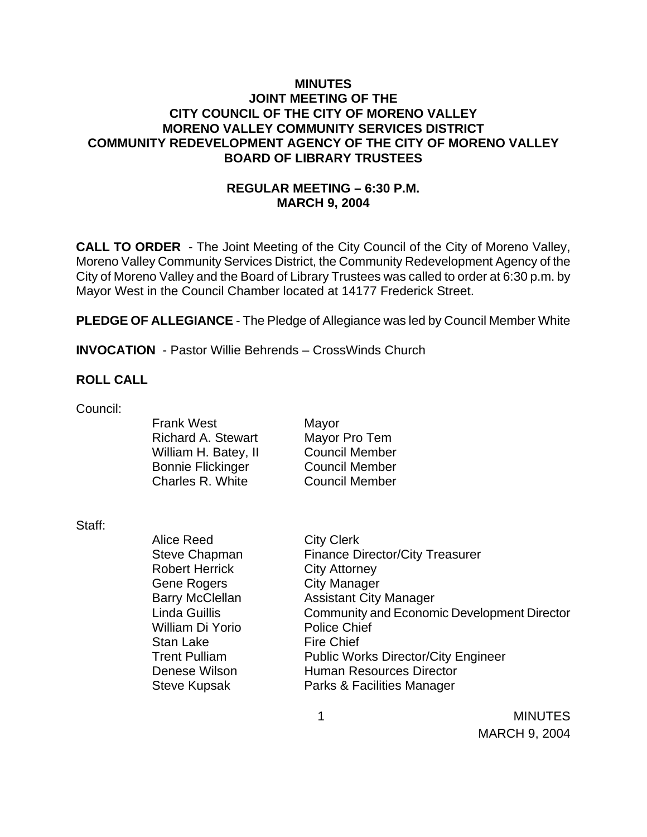## **MINUTES JOINT MEETING OF THE CITY COUNCIL OF THE CITY OF MORENO VALLEY MORENO VALLEY COMMUNITY SERVICES DISTRICT COMMUNITY REDEVELOPMENT AGENCY OF THE CITY OF MORENO VALLEY BOARD OF LIBRARY TRUSTEES**

# **REGULAR MEETING – 6:30 P.M. MARCH 9, 2004**

**CALL TO ORDER** - The Joint Meeting of the City Council of the City of Moreno Valley, Moreno Valley Community Services District, the Community Redevelopment Agency of the City of Moreno Valley and the Board of Library Trustees was called to order at 6:30 p.m. by Mayor West in the Council Chamber located at 14177 Frederick Street.

**PLEDGE OF ALLEGIANCE** - The Pledge of Allegiance was led by Council Member White

**INVOCATION** - Pastor Willie Behrends – CrossWinds Church

### **ROLL CALL**

Council:

Frank West Mayor Richard A. Stewart Mayor Pro Tem William H. Batey, II Council Member Bonnie Flickinger Council Member Charles R. White Council Member

Staff:

Alice Reed City Clerk Robert Herrick City Attorney Gene Rogers City Manager William Di Yorio Police Chief Stan Lake Fire Chief

Steve Chapman Finance Director/City Treasurer Barry McClellan Assistant City Manager Linda Guillis Community and Economic Development Director Trent Pulliam Public Works Director/City Engineer Denese Wilson **Human Resources Director** Steve Kupsak Parks & Facilities Manager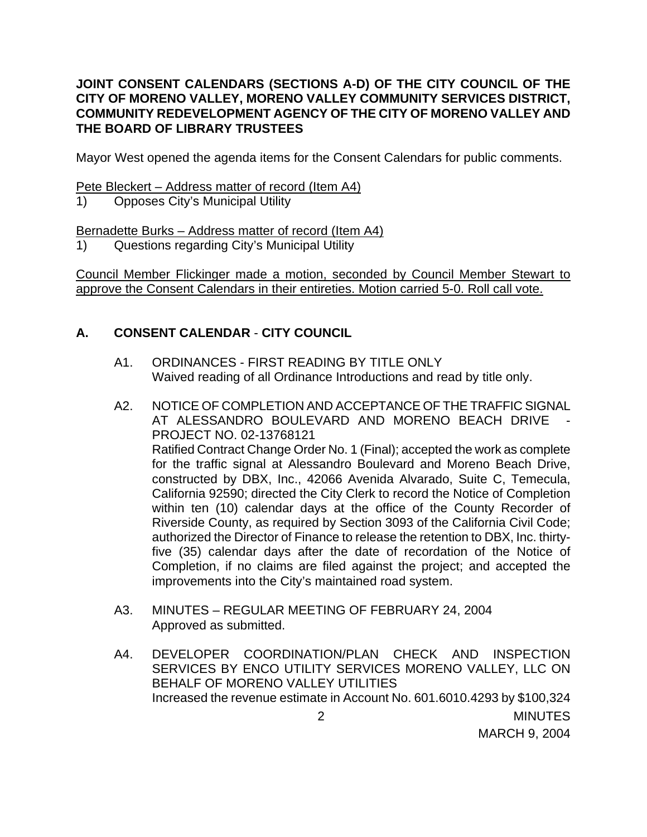## **JOINT CONSENT CALENDARS (SECTIONS A-D) OF THE CITY COUNCIL OF THE CITY OF MORENO VALLEY, MORENO VALLEY COMMUNITY SERVICES DISTRICT, COMMUNITY REDEVELOPMENT AGENCY OF THE CITY OF MORENO VALLEY AND THE BOARD OF LIBRARY TRUSTEES**

Mayor West opened the agenda items for the Consent Calendars for public comments.

Pete Bleckert – Address matter of record (Item A4)

1) Opposes City's Municipal Utility

Bernadette Burks – Address matter of record (Item A4)

1) Questions regarding City's Municipal Utility

Council Member Flickinger made a motion, seconded by Council Member Stewart to approve the Consent Calendars in their entireties. Motion carried 5-0. Roll call vote.

# **A. CONSENT CALENDAR** - **CITY COUNCIL**

- A1. ORDINANCES FIRST READING BY TITLE ONLY Waived reading of all Ordinance Introductions and read by title only.
- A2. NOTICE OF COMPLETION AND ACCEPTANCE OF THE TRAFFIC SIGNAL AT ALESSANDRO BOULEVARD AND MORENO BEACH DRIVE PROJECT NO. 02-13768121 Ratified Contract Change Order No. 1 (Final); accepted the work as complete for the traffic signal at Alessandro Boulevard and Moreno Beach Drive, constructed by DBX, Inc., 42066 Avenida Alvarado, Suite C, Temecula, California 92590; directed the City Clerk to record the Notice of Completion within ten (10) calendar days at the office of the County Recorder of Riverside County, as required by Section 3093 of the California Civil Code; authorized the Director of Finance to release the retention to DBX, Inc. thirtyfive (35) calendar days after the date of recordation of the Notice of Completion, if no claims are filed against the project; and accepted the improvements into the City's maintained road system.
- A3. MINUTES REGULAR MEETING OF FEBRUARY 24, 2004 Approved as submitted.
- 2 MINUTES A4. DEVELOPER COORDINATION/PLAN CHECK AND INSPECTION SERVICES BY ENCO UTILITY SERVICES MORENO VALLEY, LLC ON BEHALF OF MORENO VALLEY UTILITIES Increased the revenue estimate in Account No. 601.6010.4293 by \$100,324

MARCH 9, 2004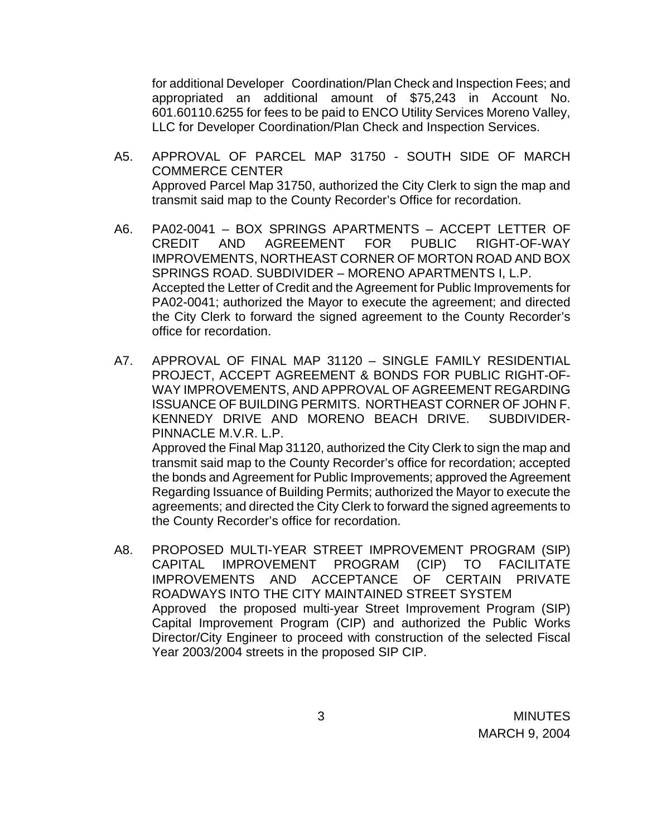for additional Developer Coordination/Plan Check and Inspection Fees; and appropriated an additional amount of \$75,243 in Account No. 601.60110.6255 for fees to be paid to ENCO Utility Services Moreno Valley, LLC for Developer Coordination/Plan Check and Inspection Services.

- A5. APPROVAL OF PARCEL MAP 31750 SOUTH SIDE OF MARCH COMMERCE CENTER Approved Parcel Map 31750, authorized the City Clerk to sign the map and transmit said map to the County Recorder's Office for recordation.
- A6. PA02-0041 BOX SPRINGS APARTMENTS ACCEPT LETTER OF CREDIT AND AGREEMENT FOR PUBLIC RIGHT-OF-WAY IMPROVEMENTS, NORTHEAST CORNER OF MORTON ROAD AND BOX SPRINGS ROAD. SUBDIVIDER – MORENO APARTMENTS I, L.P. Accepted the Letter of Credit and the Agreement for Public Improvements for PA02-0041; authorized the Mayor to execute the agreement; and directed the City Clerk to forward the signed agreement to the County Recorder's office for recordation.
- A7. APPROVAL OF FINAL MAP 31120 SINGLE FAMILY RESIDENTIAL PROJECT, ACCEPT AGREEMENT & BONDS FOR PUBLIC RIGHT-OF-WAY IMPROVEMENTS, AND APPROVAL OF AGREEMENT REGARDING ISSUANCE OF BUILDING PERMITS. NORTHEAST CORNER OF JOHN F. KENNEDY DRIVE AND MORENO BEACH DRIVE. SUBDIVIDER-PINNACLE M.V.R. L.P. Approved the Final Map 31120, authorized the City Clerk to sign the map and

transmit said map to the County Recorder's office for recordation; accepted the bonds and Agreement for Public Improvements; approved the Agreement Regarding Issuance of Building Permits; authorized the Mayor to execute the agreements; and directed the City Clerk to forward the signed agreements to the County Recorder's office for recordation.

A8. PROPOSED MULTI-YEAR STREET IMPROVEMENT PROGRAM (SIP) CAPITAL IMPROVEMENT PROGRAM (CIP) TO FACILITATE IMPROVEMENTS AND ACCEPTANCE ROADWAYS INTO THE CITY MAINTAINED STREET SYSTEM Approved the proposed multi-year Street Improvement Program (SIP) Capital Improvement Program (CIP) and authorized the Public Works Director/City Engineer to proceed with construction of the selected Fiscal Year 2003/2004 streets in the proposed SIP CIP.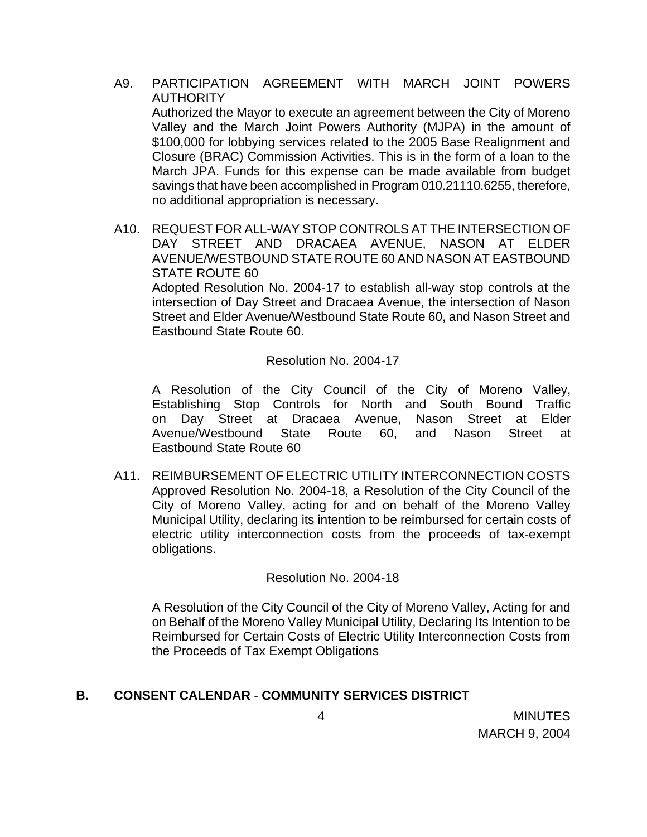A9. PARTICIPATION AGREEMENT WITH MARCH JOINT POWERS **AUTHORITY** 

Authorized the Mayor to execute an agreement between the City of Moreno Valley and the March Joint Powers Authority (MJPA) in the amount of \$100,000 for lobbying services related to the 2005 Base Realignment and Closure (BRAC) Commission Activities. This is in the form of a loan to the March JPA. Funds for this expense can be made available from budget savings that have been accomplished in Program 010.21110.6255, therefore, no additional appropriation is necessary.

A10. REQUEST FOR ALL-WAY STOP CONTROLS AT THE INTERSECTION OF DAY STREET AND DRACAEA AVENUE, NASON AT ELDER AVENUE/WESTBOUND STATE ROUTE 60 AND NASON AT EASTBOUND STATE ROUTE 60

 Adopted Resolution No. 2004-17 to establish all-way stop controls at the intersection of Day Street and Dracaea Avenue, the intersection of Nason Street and Elder Avenue/Westbound State Route 60, and Nason Street and Eastbound State Route 60.

## Resolution No. 2004-17

 A Resolution of the City Council of the City of Moreno Valley, Establishing Stop Controls for North and South Bound Traffic on Day Street at Dracaea Avenue, Nason Street at Elder Avenue/Westbound State Route 60, and Nason Street at Eastbound State Route 60

A11. REIMBURSEMENT OF ELECTRIC UTILITY INTERCONNECTION COSTS Approved Resolution No. 2004-18, a Resolution of the City Council of the City of Moreno Valley, acting for and on behalf of the Moreno Valley Municipal Utility, declaring its intention to be reimbursed for certain costs of electric utility interconnection costs from the proceeds of tax-exempt obligations.

## Resolution No. 2004-18

A Resolution of the City Council of the City of Moreno Valley, Acting for and on Behalf of the Moreno Valley Municipal Utility, Declaring Its Intention to be Reimbursed for Certain Costs of Electric Utility Interconnection Costs from the Proceeds of Tax Exempt Obligations

# **B. CONSENT CALENDAR** - **COMMUNITY SERVICES DISTRICT**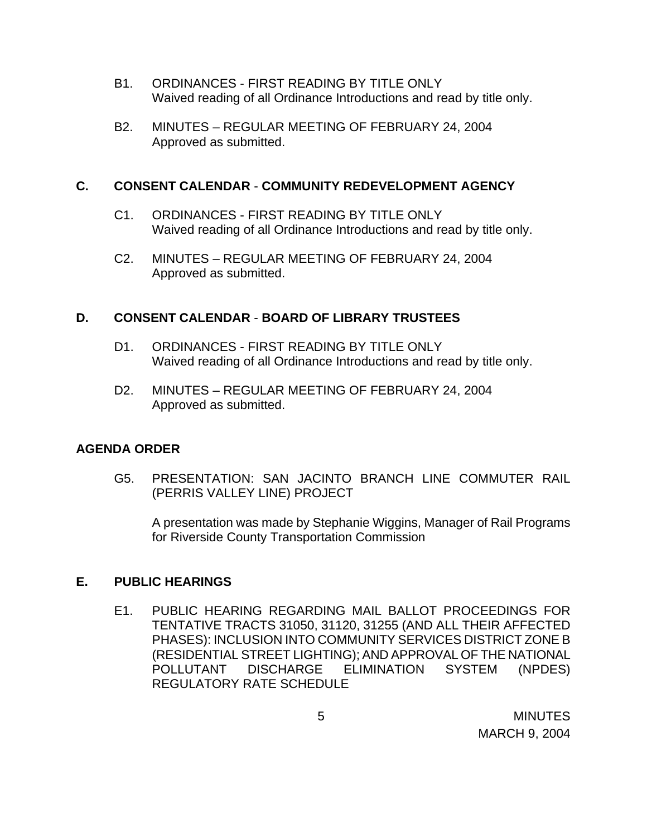- B1. ORDINANCES FIRST READING BY TITLE ONLY Waived reading of all Ordinance Introductions and read by title only.
- B2. MINUTES REGULAR MEETING OF FEBRUARY 24, 2004 Approved as submitted.

## **C. CONSENT CALENDAR** - **COMMUNITY REDEVELOPMENT AGENCY**

- C1. ORDINANCES FIRST READING BY TITLE ONLY Waived reading of all Ordinance Introductions and read by title only.
- C2. MINUTES REGULAR MEETING OF FEBRUARY 24, 2004 Approved as submitted.

### **D. CONSENT CALENDAR** - **BOARD OF LIBRARY TRUSTEES**

- D1. ORDINANCES FIRST READING BY TITLE ONLY Waived reading of all Ordinance Introductions and read by title only.
- D2. MINUTES REGULAR MEETING OF FEBRUARY 24, 2004 Approved as submitted.

## **AGENDA ORDER**

 G5. PRESENTATION: SAN JACINTO BRANCH LINE COMMUTER RAIL (PERRIS VALLEY LINE) PROJECT

 A presentation was made by Stephanie Wiggins, Manager of Rail Programs for Riverside County Transportation Commission

## **E. PUBLIC HEARINGS**

E1. PUBLIC HEARING REGARDING MAIL BALLOT PROCEEDINGS FOR TENTATIVE TRACTS 31050, 31120, 31255 (AND ALL THEIR AFFECTED PHASES): INCLUSION INTO COMMUNITY SERVICES DISTRICT ZONE B (RESIDENTIAL STREET LIGHTING); AND APPROVAL OF THE NATIONAL POLLUTANT DISCHARGE ELIMINATION SYSTEM (NPDES) REGULATORY RATE SCHEDULE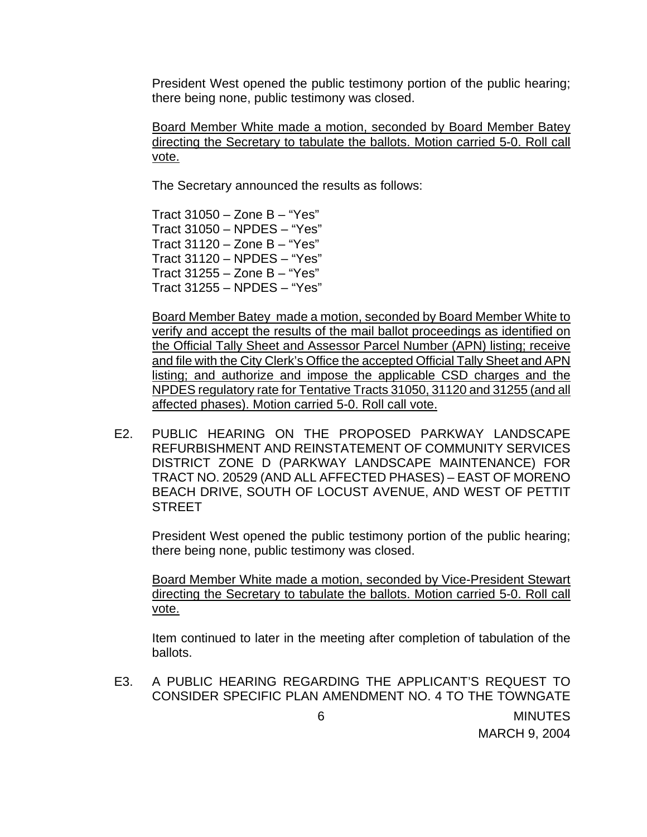President West opened the public testimony portion of the public hearing; there being none, public testimony was closed.

Board Member White made a motion, seconded by Board Member Batey directing the Secretary to tabulate the ballots. Motion carried 5-0. Roll call vote.

The Secretary announced the results as follows:

 Tract 31050 – Zone B – "Yes" Tract 31050 – NPDES – "Yes" Tract 31120 – Zone B – "Yes" Tract 31120 – NPDES – "Yes" Tract  $31255 -$  Zone B – "Yes" Tract 31255 – NPDES – "Yes"

 Board Member Batey made a motion, seconded by Board Member White to verify and accept the results of the mail ballot proceedings as identified on the Official Tally Sheet and Assessor Parcel Number (APN) listing; receive and file with the City Clerk's Office the accepted Official Tally Sheet and APN listing; and authorize and impose the applicable CSD charges and the NPDES regulatory rate for Tentative Tracts 31050, 31120 and 31255 (and all affected phases). Motion carried 5-0. Roll call vote.

 E2. PUBLIC HEARING ON THE PROPOSED PARKWAY LANDSCAPE REFURBISHMENT AND REINSTATEMENT OF COMMUNITY SERVICES DISTRICT ZONE D (PARKWAY LANDSCAPE MAINTENANCE) FOR TRACT NO. 20529 (AND ALL AFFECTED PHASES) – EAST OF MORENO BEACH DRIVE, SOUTH OF LOCUST AVENUE, AND WEST OF PETTIT **STREET** 

President West opened the public testimony portion of the public hearing; there being none, public testimony was closed.

 Board Member White made a motion, seconded by Vice-President Stewart directing the Secretary to tabulate the ballots. Motion carried 5-0. Roll call vote.

 Item continued to later in the meeting after completion of tabulation of the ballots.

 E3. A PUBLIC HEARING REGARDING THE APPLICANT'S REQUEST TO CONSIDER SPECIFIC PLAN AMENDMENT NO. 4 TO THE TOWNGATE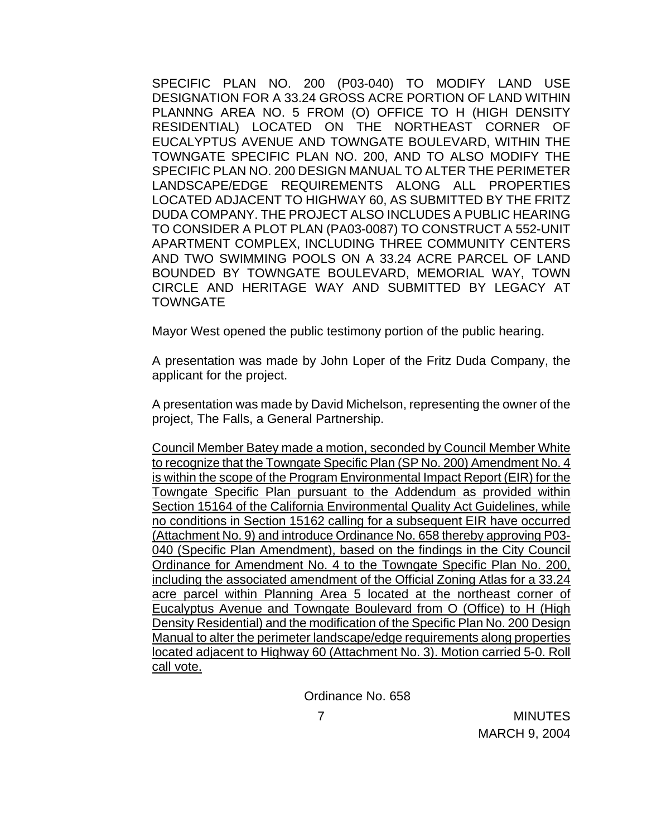SPECIFIC PLAN NO. 200 (P03-040) TO MODIFY LAND USE DESIGNATION FOR A 33.24 GROSS ACRE PORTION OF LAND WITHIN PLANNNG AREA NO. 5 FROM (O) OFFICE TO H (HIGH DENSITY RESIDENTIAL) LOCATED ON THE NORTHEAST CORNER OF EUCALYPTUS AVENUE AND TOWNGATE BOULEVARD, WITHIN THE TOWNGATE SPECIFIC PLAN NO. 200, AND TO ALSO MODIFY THE SPECIFIC PLAN NO. 200 DESIGN MANUAL TO ALTER THE PERIMETER LANDSCAPE/EDGE REQUIREMENTS ALONG ALL PROPERTIES LOCATED ADJACENT TO HIGHWAY 60, AS SUBMITTED BY THE FRITZ DUDA COMPANY. THE PROJECT ALSO INCLUDES A PUBLIC HEARING TO CONSIDER A PLOT PLAN (PA03-0087) TO CONSTRUCT A 552-UNIT APARTMENT COMPLEX, INCLUDING THREE COMMUNITY CENTERS AND TWO SWIMMING POOLS ON A 33.24 ACRE PARCEL OF LAND BOUNDED BY TOWNGATE BOULEVARD, MEMORIAL WAY, TOWN CIRCLE AND HERITAGE WAY AND SUBMITTED BY LEGACY AT **TOWNGATE** 

Mayor West opened the public testimony portion of the public hearing.

 A presentation was made by John Loper of the Fritz Duda Company, the applicant for the project.

 A presentation was made by David Michelson, representing the owner of the project, The Falls, a General Partnership.

 Council Member Batey made a motion, seconded by Council Member White to recognize that the Towngate Specific Plan (SP No. 200) Amendment No. 4 is within the scope of the Program Environmental Impact Report (EIR) for the Towngate Specific Plan pursuant to the Addendum as provided within Section 15164 of the California Environmental Quality Act Guidelines, while no conditions in Section 15162 calling for a subsequent EIR have occurred (Attachment No. 9) and introduce Ordinance No. 658 thereby approving P03- 040 (Specific Plan Amendment), based on the findings in the City Council Ordinance for Amendment No. 4 to the Towngate Specific Plan No. 200, including the associated amendment of the Official Zoning Atlas for a 33.24 acre parcel within Planning Area 5 located at the northeast corner of Eucalyptus Avenue and Towngate Boulevard from O (Office) to H (High Density Residential) and the modification of the Specific Plan No. 200 Design Manual to alter the perimeter landscape/edge requirements along properties located adjacent to Highway 60 (Attachment No. 3). Motion carried 5-0. Roll call vote.

Ordinance No. 658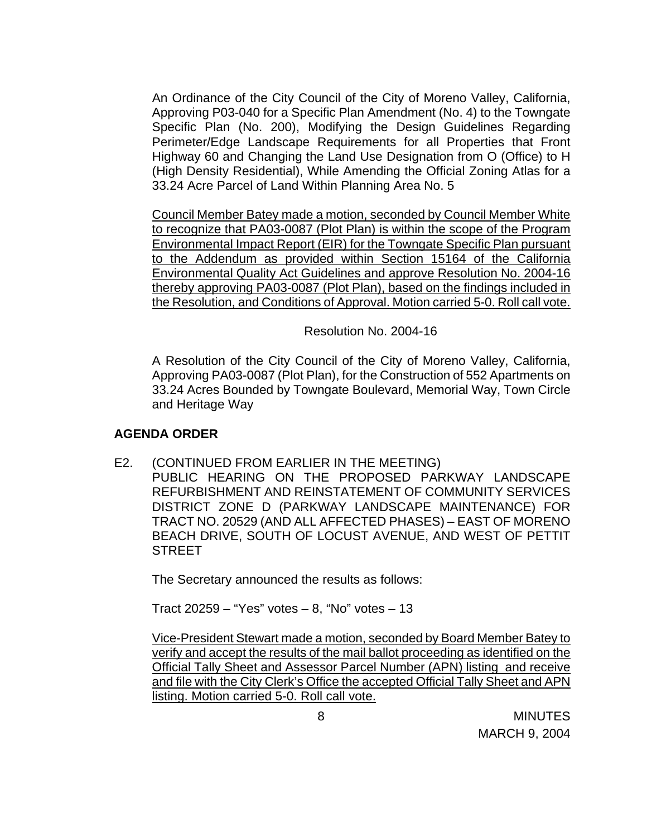An Ordinance of the City Council of the City of Moreno Valley, California, Approving P03-040 for a Specific Plan Amendment (No. 4) to the Towngate Specific Plan (No. 200), Modifying the Design Guidelines Regarding Perimeter/Edge Landscape Requirements for all Properties that Front Highway 60 and Changing the Land Use Designation from O (Office) to H (High Density Residential), While Amending the Official Zoning Atlas for a 33.24 Acre Parcel of Land Within Planning Area No. 5

Council Member Batey made a motion, seconded by Council Member White to recognize that PA03-0087 (Plot Plan) is within the scope of the Program Environmental Impact Report (EIR) for the Towngate Specific Plan pursuant to the Addendum as provided within Section 15164 of the California Environmental Quality Act Guidelines and approve Resolution No. 2004-16 thereby approving PA03-0087 (Plot Plan), based on the findings included in the Resolution, and Conditions of Approval. Motion carried 5-0. Roll call vote.

Resolution No. 2004-16

 A Resolution of the City Council of the City of Moreno Valley, California, Approving PA03-0087 (Plot Plan), for the Construction of 552 Apartments on 33.24 Acres Bounded by Towngate Boulevard, Memorial Way, Town Circle and Heritage Way

## **AGENDA ORDER**

- E2. (CONTINUED FROM EARLIER IN THE MEETING)
	- PUBLIC HEARING ON THE PROPOSED PARKWAY LANDSCAPE REFURBISHMENT AND REINSTATEMENT OF COMMUNITY SERVICES DISTRICT ZONE D (PARKWAY LANDSCAPE MAINTENANCE) FOR TRACT NO. 20529 (AND ALL AFFECTED PHASES) – EAST OF MORENO BEACH DRIVE, SOUTH OF LOCUST AVENUE, AND WEST OF PETTIT STREET

The Secretary announced the results as follows:

Tract  $20259 -$  "Yes" votes  $-8$ , "No" votes  $-13$ 

 Vice-President Stewart made a motion, seconded by Board Member Batey to verify and accept the results of the mail ballot proceeding as identified on the Official Tally Sheet and Assessor Parcel Number (APN) listing and receive and file with the City Clerk's Office the accepted Official Tally Sheet and APN listing. Motion carried 5-0. Roll call vote.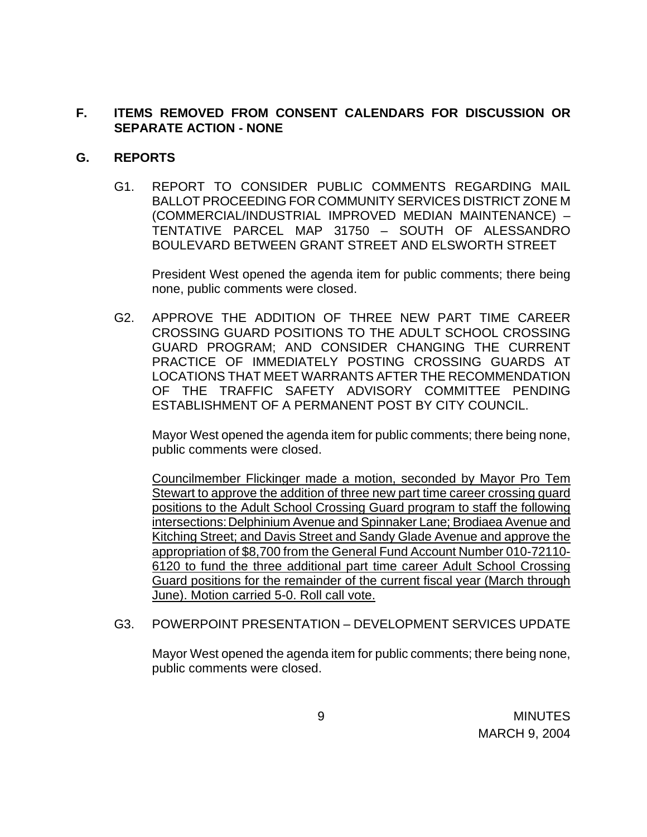## **F. ITEMS REMOVED FROM CONSENT CALENDARS FOR DISCUSSION OR SEPARATE ACTION - NONE**

## **G. REPORTS**

G1. REPORT TO CONSIDER PUBLIC COMMENTS REGARDING MAIL BALLOT PROCEEDING FOR COMMUNITY SERVICES DISTRICT ZONE M (COMMERCIAL/INDUSTRIAL IMPROVED MEDIAN MAINTENANCE) – TENTATIVE PARCEL MAP 31750 – SOUTH OF ALESSANDRO BOULEVARD BETWEEN GRANT STREET AND ELSWORTH STREET

 President West opened the agenda item for public comments; there being none, public comments were closed.

G2. APPROVE THE ADDITION OF THREE NEW PART TIME CAREER CROSSING GUARD POSITIONS TO THE ADULT SCHOOL CROSSING GUARD PROGRAM; AND CONSIDER CHANGING THE CURRENT PRACTICE OF IMMEDIATELY POSTING CROSSING GUARDS AT LOCATIONS THAT MEET WARRANTS AFTER THE RECOMMENDATION OF THE TRAFFIC SAFETY ADVISORY COMMITTEE PENDING ESTABLISHMENT OF A PERMANENT POST BY CITY COUNCIL.

Mayor West opened the agenda item for public comments; there being none, public comments were closed.

Councilmember Flickinger made a motion, seconded by Mayor Pro Tem Stewart to approve the addition of three new part time career crossing guard positions to the Adult School Crossing Guard program to staff the following intersections: Delphinium Avenue and Spinnaker Lane; Brodiaea Avenue and Kitching Street; and Davis Street and Sandy Glade Avenue and approve the appropriation of \$8,700 from the General Fund Account Number 010-72110- 6120 to fund the three additional part time career Adult School Crossing Guard positions for the remainder of the current fiscal year (March through June). Motion carried 5-0. Roll call vote.

## G3. POWERPOINT PRESENTATION – DEVELOPMENT SERVICES UPDATE

Mayor West opened the agenda item for public comments; there being none, public comments were closed.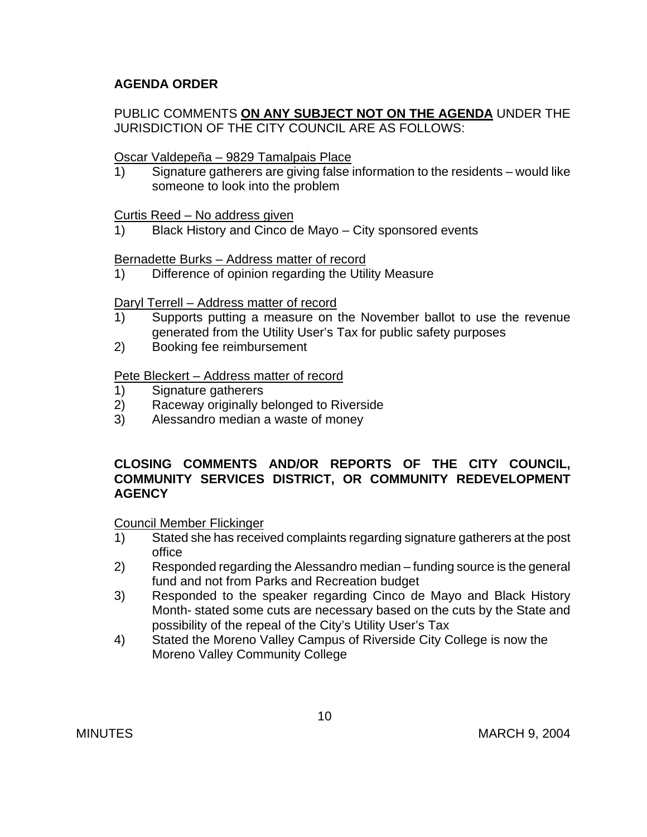# **AGENDA ORDER**

## PUBLIC COMMENTS **ON ANY SUBJECT NOT ON THE AGENDA** UNDER THE JURISDICTION OF THE CITY COUNCIL ARE AS FOLLOWS:

## Oscar Valdepeña – 9829 Tamalpais Place

1) Signature gatherers are giving false information to the residents – would like someone to look into the problem

## Curtis Reed – No address given

1) Black History and Cinco de Mayo – City sponsored events

## Bernadette Burks – Address matter of record

1) Difference of opinion regarding the Utility Measure

### Daryl Terrell – Address matter of record

- 1) Supports putting a measure on the November ballot to use the revenue generated from the Utility User's Tax for public safety purposes
- 2) Booking fee reimbursement

### Pete Bleckert – Address matter of record

- 1) Signature gatherers
- 2) Raceway originally belonged to Riverside
- 3) Alessandro median a waste of money

## **CLOSING COMMENTS AND/OR REPORTS OF THE CITY COUNCIL, COMMUNITY SERVICES DISTRICT, OR COMMUNITY REDEVELOPMENT AGENCY**

#### Council Member Flickinger

- 1) Stated she has received complaints regarding signature gatherers at the post office
- 2) Responded regarding the Alessandro median funding source is the general fund and not from Parks and Recreation budget
- 3) Responded to the speaker regarding Cinco de Mayo and Black History Month- stated some cuts are necessary based on the cuts by the State and possibility of the repeal of the City's Utility User's Tax
- 4) Stated the Moreno Valley Campus of Riverside City College is now the Moreno Valley Community College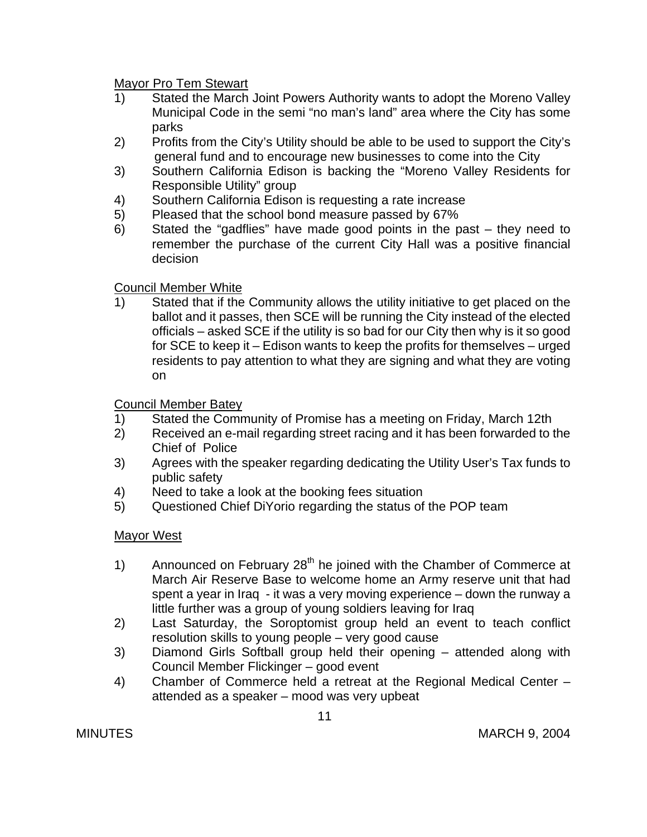Mayor Pro Tem Stewart

- 1) Stated the March Joint Powers Authority wants to adopt the Moreno Valley Municipal Code in the semi "no man's land" area where the City has some parks
- 2) Profits from the City's Utility should be able to be used to support the City's general fund and to encourage new businesses to come into the City
- 3) Southern California Edison is backing the "Moreno Valley Residents for Responsible Utility" group
- 4) Southern California Edison is requesting a rate increase
- 5) Pleased that the school bond measure passed by 67%
- 6) Stated the "gadflies" have made good points in the past they need to remember the purchase of the current City Hall was a positive financial decision

# Council Member White

1) Stated that if the Community allows the utility initiative to get placed on the ballot and it passes, then SCE will be running the City instead of the elected officials – asked SCE if the utility is so bad for our City then why is it so good for SCE to keep it – Edison wants to keep the profits for themselves – urged residents to pay attention to what they are signing and what they are voting on

# Council Member Batey

- 1) Stated the Community of Promise has a meeting on Friday, March 12th
- 2) Received an e-mail regarding street racing and it has been forwarded to the Chief of Police
- 3) Agrees with the speaker regarding dedicating the Utility User's Tax funds to public safety
- 4) Need to take a look at the booking fees situation
- 5) Questioned Chief DiYorio regarding the status of the POP team

# Mayor West

- 1) Announced on February  $28<sup>th</sup>$  he joined with the Chamber of Commerce at March Air Reserve Base to welcome home an Army reserve unit that had spent a year in Iraq - it was a very moving experience – down the runway a little further was a group of young soldiers leaving for Iraq
- 2) Last Saturday, the Soroptomist group held an event to teach conflict resolution skills to young people – very good cause
- 3) Diamond Girls Softball group held their opening attended along with Council Member Flickinger – good event
- 4) Chamber of Commerce held a retreat at the Regional Medical Center attended as a speaker – mood was very upbeat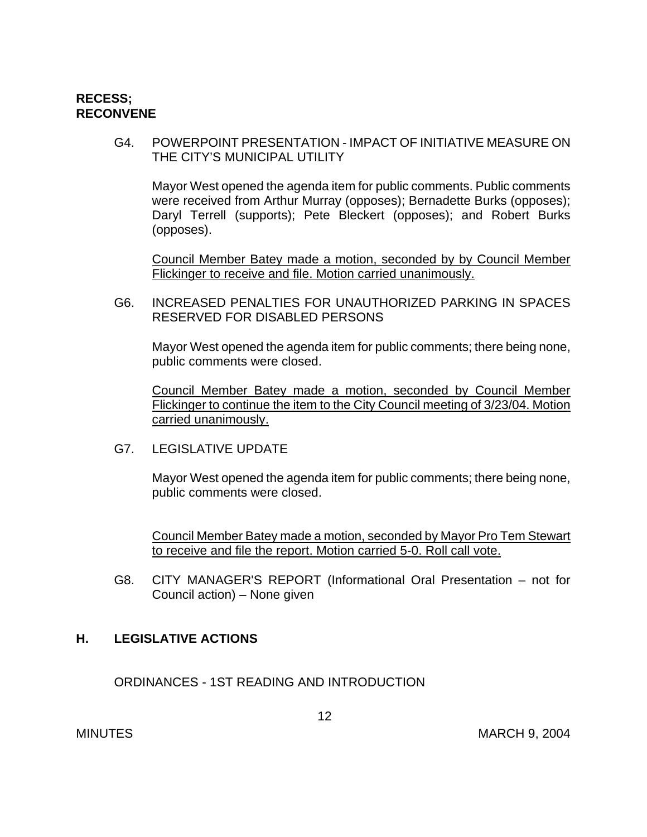## **RECESS; RECONVENE**

G4. POWERPOINT PRESENTATION - IMPACT OF INITIATIVE MEASURE ON THE CITY'S MUNICIPAL UTILITY

Mayor West opened the agenda item for public comments. Public comments were received from Arthur Murray (opposes); Bernadette Burks (opposes); Daryl Terrell (supports); Pete Bleckert (opposes); and Robert Burks (opposes).

Council Member Batey made a motion, seconded by by Council Member Flickinger to receive and file. Motion carried unanimously.

 G6. INCREASED PENALTIES FOR UNAUTHORIZED PARKING IN SPACES RESERVED FOR DISABLED PERSONS

Mayor West opened the agenda item for public comments; there being none, public comments were closed.

Council Member Batey made a motion, seconded by Council Member Flickinger to continue the item to the City Council meeting of 3/23/04. Motion carried unanimously.

G7. LEGISLATIVE UPDATE

Mayor West opened the agenda item for public comments; there being none, public comments were closed.

Council Member Batey made a motion, seconded by Mayor Pro Tem Stewart to receive and file the report. Motion carried 5-0. Roll call vote.

 G8. CITY MANAGER'S REPORT (Informational Oral Presentation – not for Council action) – None given

## **H. LEGISLATIVE ACTIONS**

ORDINANCES - 1ST READING AND INTRODUCTION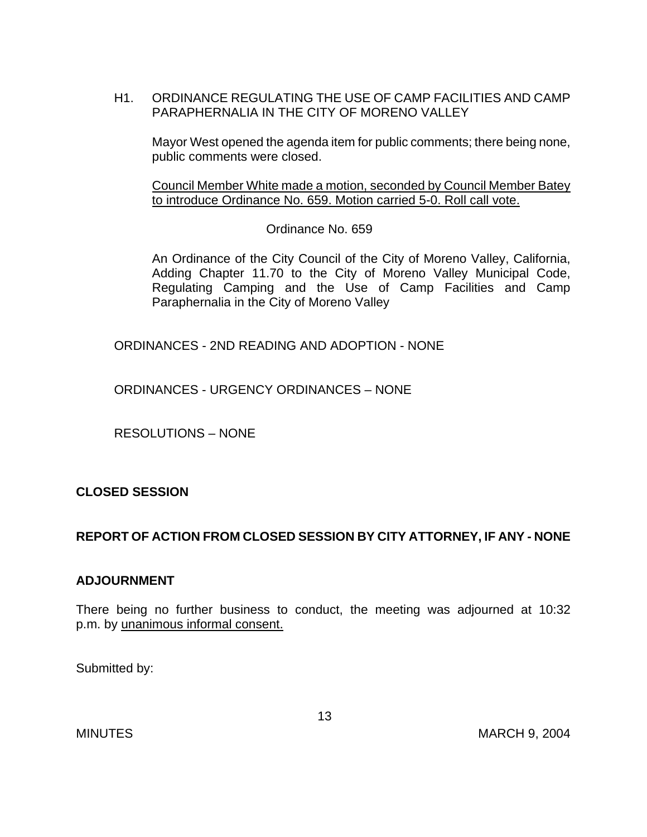H1. ORDINANCE REGULATING THE USE OF CAMP FACILITIES AND CAMP PARAPHERNALIA IN THE CITY OF MORENO VALLEY

Mayor West opened the agenda item for public comments; there being none, public comments were closed.

 Council Member White made a motion, seconded by Council Member Batey to introduce Ordinance No. 659. Motion carried 5-0. Roll call vote.

Ordinance No. 659

 An Ordinance of the City Council of the City of Moreno Valley, California, Adding Chapter 11.70 to the City of Moreno Valley Municipal Code, Regulating Camping and the Use of Camp Facilities and Camp Paraphernalia in the City of Moreno Valley

ORDINANCES - 2ND READING AND ADOPTION - NONE

ORDINANCES - URGENCY ORDINANCES – NONE

RESOLUTIONS – NONE

# **CLOSED SESSION**

# **REPORT OF ACTION FROM CLOSED SESSION BY CITY ATTORNEY, IF ANY - NONE**

## **ADJOURNMENT**

There being no further business to conduct, the meeting was adjourned at 10:32 p.m. by unanimous informal consent.

Submitted by: